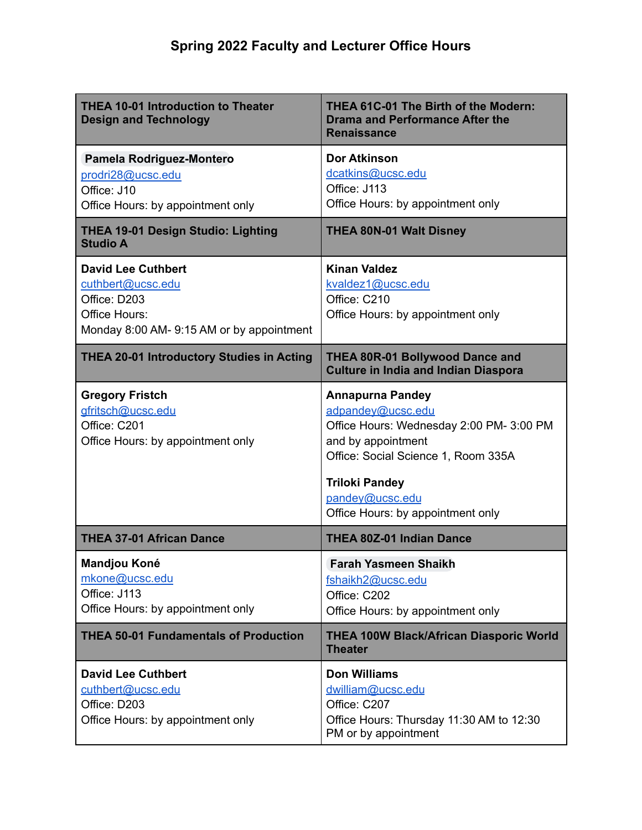| <b>THEA 10-01 Introduction to Theater</b><br><b>Design and Technology</b>                                                   | THEA 61C-01 The Birth of the Modern:<br><b>Drama and Performance After the</b><br><b>Renaissance</b>                                                                                                                                   |
|-----------------------------------------------------------------------------------------------------------------------------|----------------------------------------------------------------------------------------------------------------------------------------------------------------------------------------------------------------------------------------|
| Pamela Rodriguez-Montero<br>prodri28@ucsc.edu<br>Office: J10<br>Office Hours: by appointment only                           | <b>Dor Atkinson</b><br>dcatkins@ucsc.edu<br>Office: J113<br>Office Hours: by appointment only                                                                                                                                          |
| <b>THEA 19-01 Design Studio: Lighting</b><br><b>Studio A</b>                                                                | <b>THEA 80N-01 Walt Disney</b>                                                                                                                                                                                                         |
| <b>David Lee Cuthbert</b><br>cuthbert@ucsc.edu<br>Office: D203<br>Office Hours:<br>Monday 8:00 AM-9:15 AM or by appointment | <b>Kinan Valdez</b><br>kvaldez1@ucsc.edu<br>Office: C210<br>Office Hours: by appointment only                                                                                                                                          |
| <b>THEA 20-01 Introductory Studies in Acting</b>                                                                            | <b>THEA 80R-01 Bollywood Dance and</b><br><b>Culture in India and Indian Diaspora</b>                                                                                                                                                  |
| <b>Gregory Fristch</b><br>gfritsch@ucsc.edu<br>Office: C201<br>Office Hours: by appointment only                            | <b>Annapurna Pandey</b><br>adpandey@ucsc.edu<br>Office Hours: Wednesday 2:00 PM- 3:00 PM<br>and by appointment<br>Office: Social Science 1, Room 335A<br><b>Triloki Pandey</b><br>pandey@ucsc.edu<br>Office Hours: by appointment only |
| <b>THEA 37-01 African Dance</b>                                                                                             | <b>THEA 80Z-01 Indian Dance</b>                                                                                                                                                                                                        |
| <b>Mandjou Koné</b><br>mkone@ucsc.edu<br>Office: J113<br>Office Hours: by appointment only                                  | <b>Farah Yasmeen Shaikh</b><br>fshaikh2@ucsc.edu<br>Office: C202<br>Office Hours: by appointment only                                                                                                                                  |
| <b>THEA 50-01 Fundamentals of Production</b>                                                                                | <b>THEA 100W Black/African Diasporic World</b><br><b>Theater</b>                                                                                                                                                                       |
| <b>David Lee Cuthbert</b><br>cuthbert@ucsc.edu<br>Office: D203<br>Office Hours: by appointment only                         | <b>Don Williams</b><br>dwilliam@ucsc.edu<br>Office: C207<br>Office Hours: Thursday 11:30 AM to 12:30                                                                                                                                   |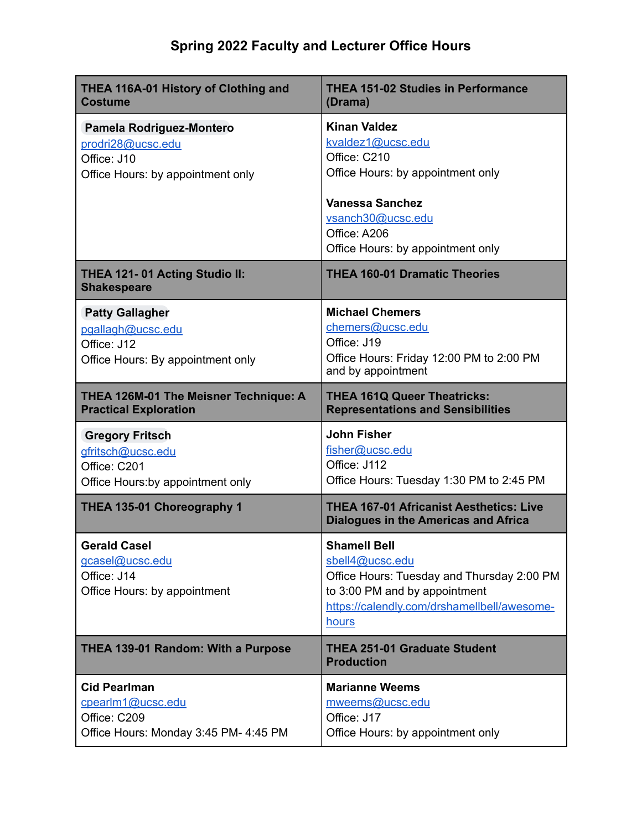## **Spring 2022 Faculty and Lecturer Office Hours**

| <b>THEA 116A-01 History of Clothing and</b><br><b>Costume</b>                                     | <b>THEA 151-02 Studies in Performance</b><br>(Drama)                                                                                                                                              |
|---------------------------------------------------------------------------------------------------|---------------------------------------------------------------------------------------------------------------------------------------------------------------------------------------------------|
| Pamela Rodriguez-Montero<br>prodri28@ucsc.edu<br>Office: J10<br>Office Hours: by appointment only | <b>Kinan Valdez</b><br>kvaldez1@ucsc.edu<br>Office: C210<br>Office Hours: by appointment only<br><b>Vanessa Sanchez</b><br>vsanch30@ucsc.edu<br>Office: A206<br>Office Hours: by appointment only |
| THEA 121-01 Acting Studio II:<br><b>Shakespeare</b>                                               | <b>THEA 160-01 Dramatic Theories</b>                                                                                                                                                              |
| <b>Patty Gallagher</b><br>pgallagh@ucsc.edu<br>Office: J12<br>Office Hours: By appointment only   | <b>Michael Chemers</b><br>chemers@ucsc.edu<br>Office: J19<br>Office Hours: Friday 12:00 PM to 2:00 PM<br>and by appointment                                                                       |
| THEA 126M-01 The Meisner Technique: A<br><b>Practical Exploration</b>                             | <b>THEA 161Q Queer Theatricks:</b><br><b>Representations and Sensibilities</b>                                                                                                                    |
|                                                                                                   |                                                                                                                                                                                                   |
| <b>Gregory Fritsch</b><br>gfritsch@ucsc.edu<br>Office: C201<br>Office Hours: by appointment only  | <b>John Fisher</b><br>fisher@ucsc.edu<br>Office: J112<br>Office Hours: Tuesday 1:30 PM to 2:45 PM                                                                                                 |
| THEA 135-01 Choreography 1                                                                        | <b>THEA 167-01 Africanist Aesthetics: Live</b><br><b>Dialogues in the Americas and Africa</b>                                                                                                     |
| <b>Gerald Casel</b><br>gcasel@ucsc.edu<br>Office: J14<br>Office Hours: by appointment             | <b>Shamell Bell</b><br>sbell4@ucsc.edu<br>Office Hours: Tuesday and Thursday 2:00 PM<br>to 3:00 PM and by appointment<br>https://calendly.com/drshamellbell/awesome-<br>hours                     |
| <b>THEA 139-01 Random: With a Purpose</b>                                                         | <b>THEA 251-01 Graduate Student</b><br><b>Production</b>                                                                                                                                          |